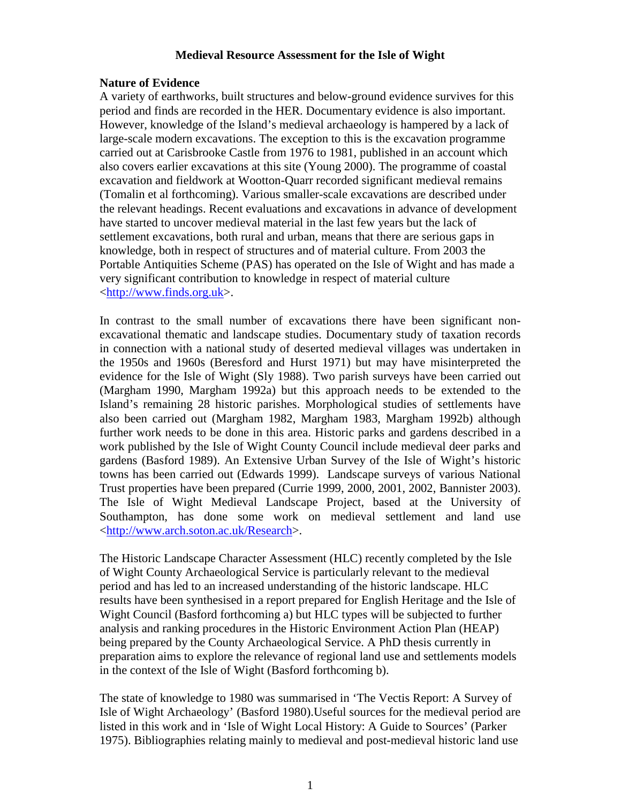# **Medieval Resource Assessment for the Isle of Wight**

# **Nature of Evidence**

A variety of earthworks, built structures and below-ground evidence survives for this period and finds are recorded in the HER. Documentary evidence is also important. However, knowledge of the Island's medieval archaeology is hampered by a lack of large-scale modern excavations. The exception to this is the excavation programme carried out at Carisbrooke Castle from 1976 to 1981, published in an account which also covers earlier excavations at this site (Young 2000). The programme of coastal excavation and fieldwork at Wootton-Quarr recorded significant medieval remains (Tomalin et al forthcoming). Various smaller-scale excavations are described under the relevant headings. Recent evaluations and excavations in advance of development have started to uncover medieval material in the last few years but the lack of settlement excavations, both rural and urban, means that there are serious gaps in knowledge, both in respect of structures and of material culture. From 2003 the Portable Antiquities Scheme (PAS) has operated on the Isle of Wight and has made a very significant contribution to knowledge in respect of material culture <http://www.finds.org.uk>.

In contrast to the small number of excavations there have been significant nonexcavational thematic and landscape studies. Documentary study of taxation records in connection with a national study of deserted medieval villages was undertaken in the 1950s and 1960s (Beresford and Hurst 1971) but may have misinterpreted the evidence for the Isle of Wight (Sly 1988). Two parish surveys have been carried out (Margham 1990, Margham 1992a) but this approach needs to be extended to the Island's remaining 28 historic parishes. Morphological studies of settlements have also been carried out (Margham 1982, Margham 1983, Margham 1992b) although further work needs to be done in this area. Historic parks and gardens described in a work published by the Isle of Wight County Council include medieval deer parks and gardens (Basford 1989). An Extensive Urban Survey of the Isle of Wight's historic towns has been carried out (Edwards 1999). Landscape surveys of various National Trust properties have been prepared (Currie 1999, 2000, 2001, 2002, Bannister 2003). The Isle of Wight Medieval Landscape Project, based at the University of Southampton, has done some work on medieval settlement and land use <http://www.arch.soton.ac.uk/Research>.

The Historic Landscape Character Assessment (HLC) recently completed by the Isle of Wight County Archaeological Service is particularly relevant to the medieval period and has led to an increased understanding of the historic landscape. HLC results have been synthesised in a report prepared for English Heritage and the Isle of Wight Council (Basford forthcoming a) but HLC types will be subjected to further analysis and ranking procedures in the Historic Environment Action Plan (HEAP) being prepared by the County Archaeological Service. A PhD thesis currently in preparation aims to explore the relevance of regional land use and settlements models in the context of the Isle of Wight (Basford forthcoming b).

The state of knowledge to 1980 was summarised in 'The Vectis Report: A Survey of Isle of Wight Archaeology' (Basford 1980).Useful sources for the medieval period are listed in this work and in 'Isle of Wight Local History: A Guide to Sources' (Parker 1975). Bibliographies relating mainly to medieval and post-medieval historic land use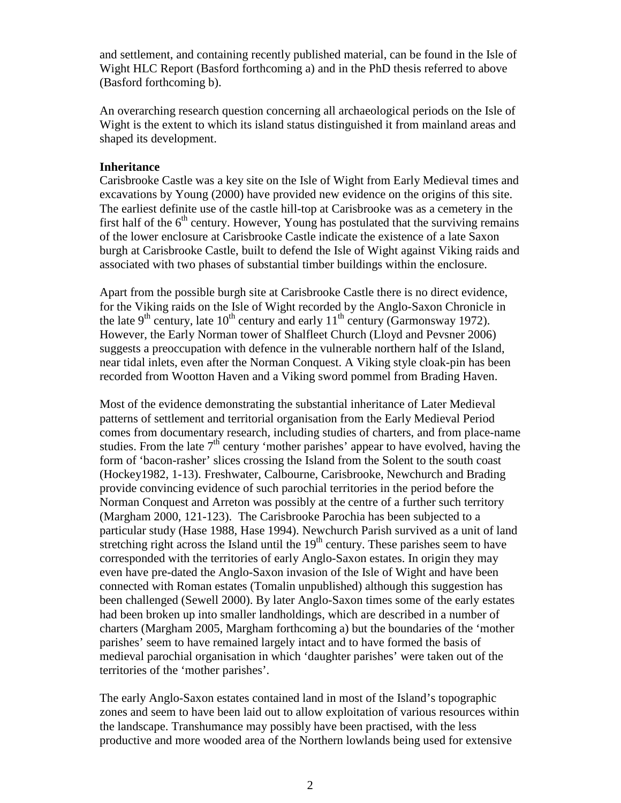and settlement, and containing recently published material, can be found in the Isle of Wight HLC Report (Basford forthcoming a) and in the PhD thesis referred to above (Basford forthcoming b).

An overarching research question concerning all archaeological periods on the Isle of Wight is the extent to which its island status distinguished it from mainland areas and shaped its development.

# **Inheritance**

Carisbrooke Castle was a key site on the Isle of Wight from Early Medieval times and excavations by Young (2000) have provided new evidence on the origins of this site. The earliest definite use of the castle hill-top at Carisbrooke was as a cemetery in the first half of the  $6<sup>th</sup>$  century. However, Young has postulated that the surviving remains of the lower enclosure at Carisbrooke Castle indicate the existence of a late Saxon burgh at Carisbrooke Castle, built to defend the Isle of Wight against Viking raids and associated with two phases of substantial timber buildings within the enclosure.

Apart from the possible burgh site at Carisbrooke Castle there is no direct evidence, for the Viking raids on the Isle of Wight recorded by the Anglo-Saxon Chronicle in the late 9<sup>th</sup> century, late  $10^{th}$  century and early  $11^{th}$  century (Garmonsway 1972). However, the Early Norman tower of Shalfleet Church (Lloyd and Pevsner 2006) suggests a preoccupation with defence in the vulnerable northern half of the Island, near tidal inlets, even after the Norman Conquest. A Viking style cloak-pin has been recorded from Wootton Haven and a Viking sword pommel from Brading Haven.

Most of the evidence demonstrating the substantial inheritance of Later Medieval patterns of settlement and territorial organisation from the Early Medieval Period comes from documentary research, including studies of charters, and from place-name studies. From the late  $7<sup>th</sup>$  century 'mother parishes' appear to have evolved, having the form of 'bacon-rasher' slices crossing the Island from the Solent to the south coast (Hockey1982, 1-13). Freshwater, Calbourne, Carisbrooke, Newchurch and Brading provide convincing evidence of such parochial territories in the period before the Norman Conquest and Arreton was possibly at the centre of a further such territory (Margham 2000, 121-123). The Carisbrooke Parochia has been subjected to a particular study (Hase 1988, Hase 1994). Newchurch Parish survived as a unit of land stretching right across the Island until the  $19<sup>th</sup>$  century. These parishes seem to have corresponded with the territories of early Anglo-Saxon estates. In origin they may even have pre-dated the Anglo-Saxon invasion of the Isle of Wight and have been connected with Roman estates (Tomalin unpublished) although this suggestion has been challenged (Sewell 2000). By later Anglo-Saxon times some of the early estates had been broken up into smaller landholdings, which are described in a number of charters (Margham 2005, Margham forthcoming a) but the boundaries of the 'mother parishes' seem to have remained largely intact and to have formed the basis of medieval parochial organisation in which 'daughter parishes' were taken out of the territories of the 'mother parishes'.

The early Anglo-Saxon estates contained land in most of the Island's topographic zones and seem to have been laid out to allow exploitation of various resources within the landscape. Transhumance may possibly have been practised, with the less productive and more wooded area of the Northern lowlands being used for extensive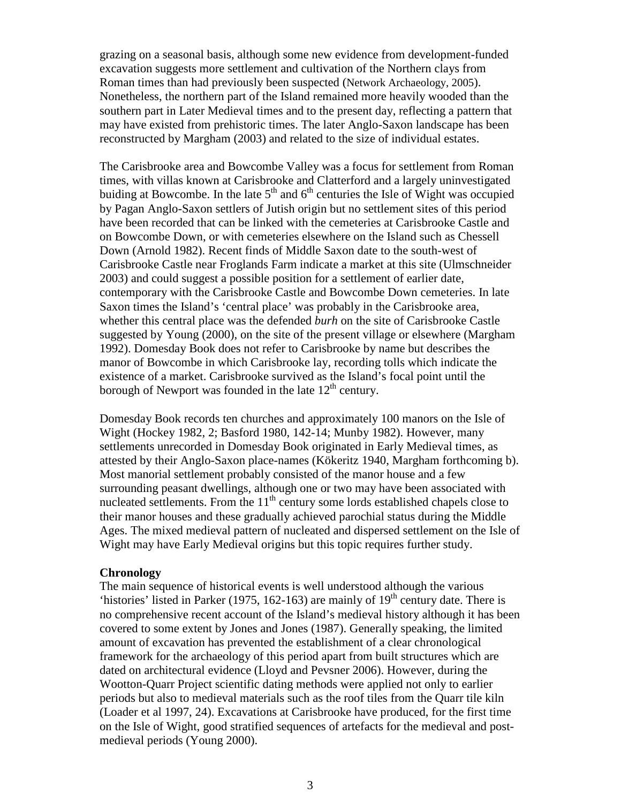grazing on a seasonal basis, although some new evidence from development-funded excavation suggests more settlement and cultivation of the Northern clays from Roman times than had previously been suspected (Network Archaeology, 2005). Nonetheless, the northern part of the Island remained more heavily wooded than the southern part in Later Medieval times and to the present day, reflecting a pattern that may have existed from prehistoric times. The later Anglo-Saxon landscape has been reconstructed by Margham (2003) and related to the size of individual estates.

The Carisbrooke area and Bowcombe Valley was a focus for settlement from Roman times, with villas known at Carisbrooke and Clatterford and a largely uninvestigated buiding at Bowcombe. In the late  $5<sup>th</sup>$  and  $6<sup>th</sup>$  centuries the Isle of Wight was occupied by Pagan Anglo-Saxon settlers of Jutish origin but no settlement sites of this period have been recorded that can be linked with the cemeteries at Carisbrooke Castle and on Bowcombe Down, or with cemeteries elsewhere on the Island such as Chessell Down (Arnold 1982). Recent finds of Middle Saxon date to the south-west of Carisbrooke Castle near Froglands Farm indicate a market at this site (Ulmschneider 2003) and could suggest a possible position for a settlement of earlier date, contemporary with the Carisbrooke Castle and Bowcombe Down cemeteries. In late Saxon times the Island's 'central place' was probably in the Carisbrooke area, whether this central place was the defended *burh* on the site of Carisbrooke Castle suggested by Young (2000), on the site of the present village or elsewhere (Margham 1992). Domesday Book does not refer to Carisbrooke by name but describes the manor of Bowcombe in which Carisbrooke lay, recording tolls which indicate the existence of a market. Carisbrooke survived as the Island's focal point until the borough of Newport was founded in the late  $12<sup>th</sup>$  century.

Domesday Book records ten churches and approximately 100 manors on the Isle of Wight (Hockey 1982, 2; Basford 1980, 142-14; Munby 1982). However, many settlements unrecorded in Domesday Book originated in Early Medieval times, as attested by their Anglo-Saxon place-names (Kökeritz 1940, Margham forthcoming b). Most manorial settlement probably consisted of the manor house and a few surrounding peasant dwellings, although one or two may have been associated with nucleated settlements. From the  $11<sup>th</sup>$  century some lords established chapels close to their manor houses and these gradually achieved parochial status during the Middle Ages. The mixed medieval pattern of nucleated and dispersed settlement on the Isle of Wight may have Early Medieval origins but this topic requires further study.

#### **Chronology**

The main sequence of historical events is well understood although the various 'histories' listed in Parker (1975, 162-163) are mainly of  $19<sup>th</sup>$  century date. There is no comprehensive recent account of the Island's medieval history although it has been covered to some extent by Jones and Jones (1987). Generally speaking, the limited amount of excavation has prevented the establishment of a clear chronological framework for the archaeology of this period apart from built structures which are dated on architectural evidence (Lloyd and Pevsner 2006). However, during the Wootton-Quarr Project scientific dating methods were applied not only to earlier periods but also to medieval materials such as the roof tiles from the Quarr tile kiln (Loader et al 1997, 24). Excavations at Carisbrooke have produced, for the first time on the Isle of Wight, good stratified sequences of artefacts for the medieval and postmedieval periods (Young 2000).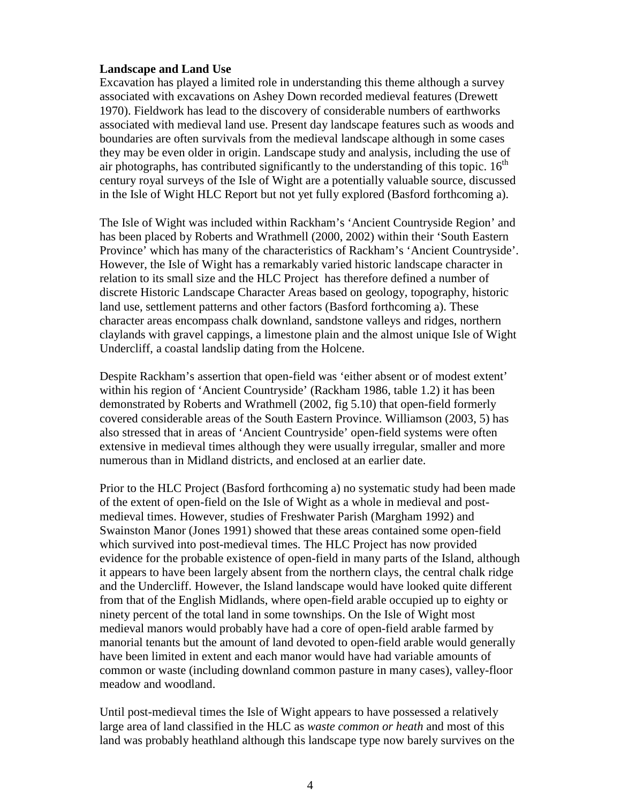# **Landscape and Land Use**

Excavation has played a limited role in understanding this theme although a survey associated with excavations on Ashey Down recorded medieval features (Drewett 1970). Fieldwork has lead to the discovery of considerable numbers of earthworks associated with medieval land use. Present day landscape features such as woods and boundaries are often survivals from the medieval landscape although in some cases they may be even older in origin. Landscape study and analysis, including the use of air photographs, has contributed significantly to the understanding of this topic.  $16<sup>th</sup>$ century royal surveys of the Isle of Wight are a potentially valuable source, discussed in the Isle of Wight HLC Report but not yet fully explored (Basford forthcoming a).

The Isle of Wight was included within Rackham's 'Ancient Countryside Region' and has been placed by Roberts and Wrathmell (2000, 2002) within their 'South Eastern Province' which has many of the characteristics of Rackham's 'Ancient Countryside'. However, the Isle of Wight has a remarkably varied historic landscape character in relation to its small size and the HLC Project has therefore defined a number of discrete Historic Landscape Character Areas based on geology, topography, historic land use, settlement patterns and other factors (Basford forthcoming a). These character areas encompass chalk downland, sandstone valleys and ridges, northern claylands with gravel cappings, a limestone plain and the almost unique Isle of Wight Undercliff, a coastal landslip dating from the Holcene.

Despite Rackham's assertion that open-field was 'either absent or of modest extent' within his region of 'Ancient Countryside' (Rackham 1986, table 1.2) it has been demonstrated by Roberts and Wrathmell (2002, fig 5.10) that open-field formerly covered considerable areas of the South Eastern Province. Williamson (2003, 5) has also stressed that in areas of 'Ancient Countryside' open-field systems were often extensive in medieval times although they were usually irregular, smaller and more numerous than in Midland districts, and enclosed at an earlier date.

Prior to the HLC Project (Basford forthcoming a) no systematic study had been made of the extent of open-field on the Isle of Wight as a whole in medieval and postmedieval times. However, studies of Freshwater Parish (Margham 1992) and Swainston Manor (Jones 1991) showed that these areas contained some open-field which survived into post-medieval times. The HLC Project has now provided evidence for the probable existence of open-field in many parts of the Island, although it appears to have been largely absent from the northern clays, the central chalk ridge and the Undercliff. However, the Island landscape would have looked quite different from that of the English Midlands, where open-field arable occupied up to eighty or ninety percent of the total land in some townships. On the Isle of Wight most medieval manors would probably have had a core of open-field arable farmed by manorial tenants but the amount of land devoted to open-field arable would generally have been limited in extent and each manor would have had variable amounts of common or waste (including downland common pasture in many cases), valley-floor meadow and woodland.

Until post-medieval times the Isle of Wight appears to have possessed a relatively large area of land classified in the HLC as *waste common or heath* and most of this land was probably heathland although this landscape type now barely survives on the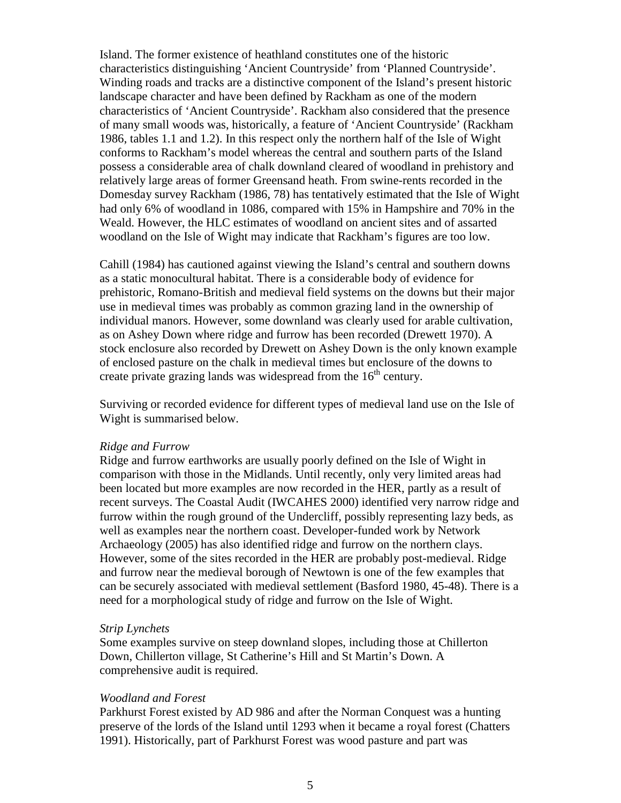Island. The former existence of heathland constitutes one of the historic characteristics distinguishing 'Ancient Countryside' from 'Planned Countryside'. Winding roads and tracks are a distinctive component of the Island's present historic landscape character and have been defined by Rackham as one of the modern characteristics of 'Ancient Countryside'. Rackham also considered that the presence of many small woods was, historically, a feature of 'Ancient Countryside' (Rackham 1986, tables 1.1 and 1.2). In this respect only the northern half of the Isle of Wight conforms to Rackham's model whereas the central and southern parts of the Island possess a considerable area of chalk downland cleared of woodland in prehistory and relatively large areas of former Greensand heath. From swine-rents recorded in the Domesday survey Rackham (1986, 78) has tentatively estimated that the Isle of Wight had only 6% of woodland in 1086, compared with 15% in Hampshire and 70% in the Weald. However, the HLC estimates of woodland on ancient sites and of assarted woodland on the Isle of Wight may indicate that Rackham's figures are too low.

Cahill (1984) has cautioned against viewing the Island's central and southern downs as a static monocultural habitat. There is a considerable body of evidence for prehistoric, Romano-British and medieval field systems on the downs but their major use in medieval times was probably as common grazing land in the ownership of individual manors. However, some downland was clearly used for arable cultivation, as on Ashey Down where ridge and furrow has been recorded (Drewett 1970). A stock enclosure also recorded by Drewett on Ashey Down is the only known example of enclosed pasture on the chalk in medieval times but enclosure of the downs to create private grazing lands was widespread from the  $16<sup>th</sup>$  century.

Surviving or recorded evidence for different types of medieval land use on the Isle of Wight is summarised below.

#### *Ridge and Furrow*

Ridge and furrow earthworks are usually poorly defined on the Isle of Wight in comparison with those in the Midlands. Until recently, only very limited areas had been located but more examples are now recorded in the HER, partly as a result of recent surveys. The Coastal Audit (IWCAHES 2000) identified very narrow ridge and furrow within the rough ground of the Undercliff, possibly representing lazy beds, as well as examples near the northern coast. Developer-funded work by Network Archaeology (2005) has also identified ridge and furrow on the northern clays. However, some of the sites recorded in the HER are probably post-medieval. Ridge and furrow near the medieval borough of Newtown is one of the few examples that can be securely associated with medieval settlement (Basford 1980, 45-48). There is a need for a morphological study of ridge and furrow on the Isle of Wight.

#### *Strip Lynchets*

Some examples survive on steep downland slopes, including those at Chillerton Down, Chillerton village, St Catherine's Hill and St Martin's Down. A comprehensive audit is required.

#### *Woodland and Forest*

Parkhurst Forest existed by AD 986 and after the Norman Conquest was a hunting preserve of the lords of the Island until 1293 when it became a royal forest (Chatters 1991). Historically, part of Parkhurst Forest was wood pasture and part was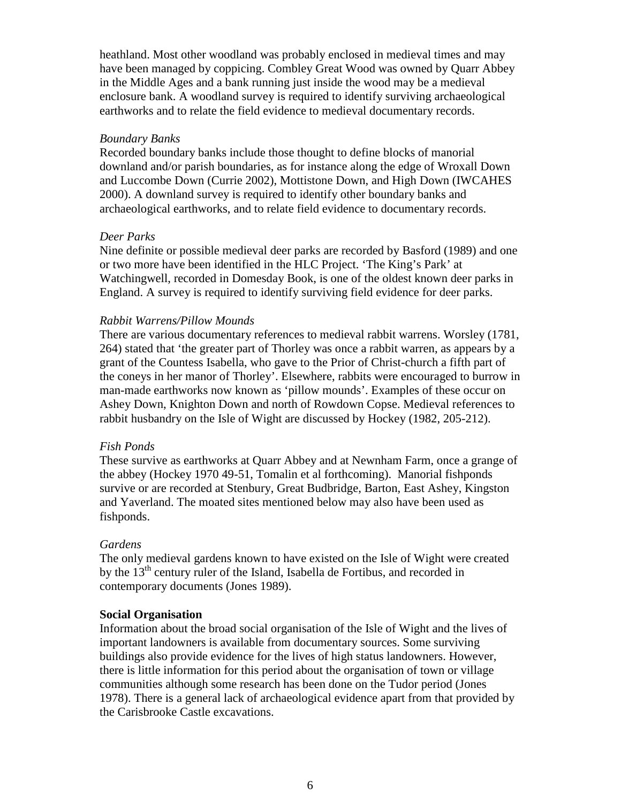heathland. Most other woodland was probably enclosed in medieval times and may have been managed by coppicing. Combley Great Wood was owned by Quarr Abbey in the Middle Ages and a bank running just inside the wood may be a medieval enclosure bank. A woodland survey is required to identify surviving archaeological earthworks and to relate the field evidence to medieval documentary records.

# *Boundary Banks*

Recorded boundary banks include those thought to define blocks of manorial downland and/or parish boundaries, as for instance along the edge of Wroxall Down and Luccombe Down (Currie 2002), Mottistone Down, and High Down (IWCAHES 2000). A downland survey is required to identify other boundary banks and archaeological earthworks, and to relate field evidence to documentary records.

# *Deer Parks*

Nine definite or possible medieval deer parks are recorded by Basford (1989) and one or two more have been identified in the HLC Project. 'The King's Park' at Watchingwell, recorded in Domesday Book, is one of the oldest known deer parks in England. A survey is required to identify surviving field evidence for deer parks.

# *Rabbit Warrens/Pillow Mounds*

There are various documentary references to medieval rabbit warrens. Worsley (1781, 264) stated that 'the greater part of Thorley was once a rabbit warren, as appears by a grant of the Countess Isabella, who gave to the Prior of Christ-church a fifth part of the coneys in her manor of Thorley'. Elsewhere, rabbits were encouraged to burrow in man-made earthworks now known as 'pillow mounds'. Examples of these occur on Ashey Down, Knighton Down and north of Rowdown Copse. Medieval references to rabbit husbandry on the Isle of Wight are discussed by Hockey (1982, 205-212).

## *Fish Ponds*

These survive as earthworks at Quarr Abbey and at Newnham Farm, once a grange of the abbey (Hockey 1970 49-51, Tomalin et al forthcoming). Manorial fishponds survive or are recorded at Stenbury, Great Budbridge, Barton, East Ashey, Kingston and Yaverland. The moated sites mentioned below may also have been used as fishponds.

## *Gardens*

The only medieval gardens known to have existed on the Isle of Wight were created by the 13<sup>th</sup> century ruler of the Island, Isabella de Fortibus, and recorded in contemporary documents (Jones 1989).

## **Social Organisation**

Information about the broad social organisation of the Isle of Wight and the lives of important landowners is available from documentary sources. Some surviving buildings also provide evidence for the lives of high status landowners. However, there is little information for this period about the organisation of town or village communities although some research has been done on the Tudor period (Jones 1978). There is a general lack of archaeological evidence apart from that provided by the Carisbrooke Castle excavations.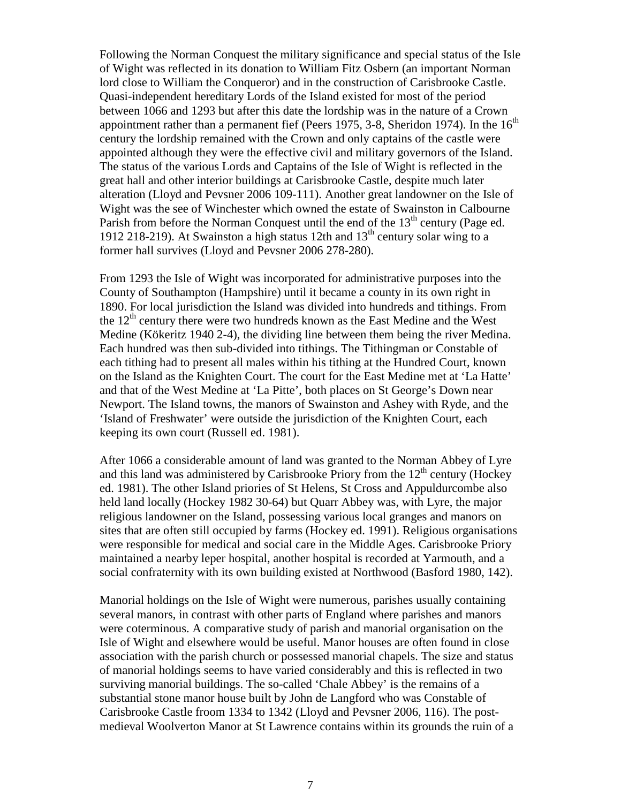Following the Norman Conquest the military significance and special status of the Isle of Wight was reflected in its donation to William Fitz Osbern (an important Norman lord close to William the Conqueror) and in the construction of Carisbrooke Castle. Quasi-independent hereditary Lords of the Island existed for most of the period between 1066 and 1293 but after this date the lordship was in the nature of a Crown appointment rather than a permanent fief (Peers 1975, 3-8, Sheridon 1974). In the  $16<sup>th</sup>$ century the lordship remained with the Crown and only captains of the castle were appointed although they were the effective civil and military governors of the Island. The status of the various Lords and Captains of the Isle of Wight is reflected in the great hall and other interior buildings at Carisbrooke Castle, despite much later alteration (Lloyd and Pevsner 2006 109-111). Another great landowner on the Isle of Wight was the see of Winchester which owned the estate of Swainston in Calbourne Parish from before the Norman Conquest until the end of the  $13<sup>th</sup>$  century (Page ed. 1912 218-219). At Swainston a high status 12th and  $13<sup>th</sup>$  century solar wing to a former hall survives (Lloyd and Pevsner 2006 278-280).

From 1293 the Isle of Wight was incorporated for administrative purposes into the County of Southampton (Hampshire) until it became a county in its own right in 1890. For local jurisdiction the Island was divided into hundreds and tithings. From the  $12<sup>th</sup>$  century there were two hundreds known as the East Medine and the West Medine (Kökeritz 1940 2-4), the dividing line between them being the river Medina. Each hundred was then sub-divided into tithings. The Tithingman or Constable of each tithing had to present all males within his tithing at the Hundred Court, known on the Island as the Knighten Court. The court for the East Medine met at 'La Hatte' and that of the West Medine at 'La Pitte', both places on St George's Down near Newport. The Island towns, the manors of Swainston and Ashey with Ryde, and the 'Island of Freshwater' were outside the jurisdiction of the Knighten Court, each keeping its own court (Russell ed. 1981).

After 1066 a considerable amount of land was granted to the Norman Abbey of Lyre and this land was administered by Carisbrooke Priory from the  $12<sup>th</sup>$  century (Hockey ed. 1981). The other Island priories of St Helens, St Cross and Appuldurcombe also held land locally (Hockey 1982 30-64) but Quarr Abbey was, with Lyre, the major religious landowner on the Island, possessing various local granges and manors on sites that are often still occupied by farms (Hockey ed. 1991). Religious organisations were responsible for medical and social care in the Middle Ages. Carisbrooke Priory maintained a nearby leper hospital, another hospital is recorded at Yarmouth, and a social confraternity with its own building existed at Northwood (Basford 1980, 142).

Manorial holdings on the Isle of Wight were numerous, parishes usually containing several manors, in contrast with other parts of England where parishes and manors were coterminous. A comparative study of parish and manorial organisation on the Isle of Wight and elsewhere would be useful. Manor houses are often found in close association with the parish church or possessed manorial chapels. The size and status of manorial holdings seems to have varied considerably and this is reflected in two surviving manorial buildings. The so-called 'Chale Abbey' is the remains of a substantial stone manor house built by John de Langford who was Constable of Carisbrooke Castle froom 1334 to 1342 (Lloyd and Pevsner 2006, 116). The postmedieval Woolverton Manor at St Lawrence contains within its grounds the ruin of a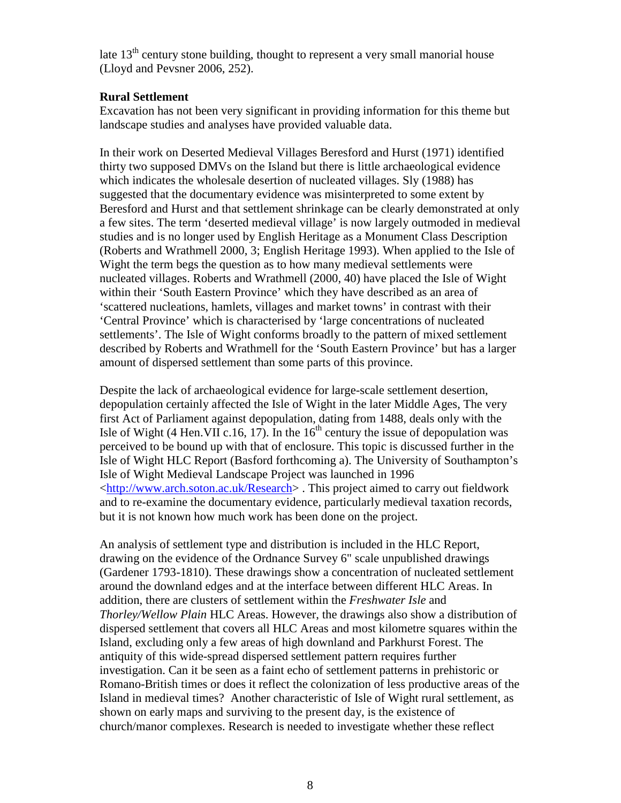late  $13<sup>th</sup>$  century stone building, thought to represent a very small manorial house (Lloyd and Pevsner 2006, 252).

# **Rural Settlement**

Excavation has not been very significant in providing information for this theme but landscape studies and analyses have provided valuable data.

In their work on Deserted Medieval Villages Beresford and Hurst (1971) identified thirty two supposed DMVs on the Island but there is little archaeological evidence which indicates the wholesale desertion of nucleated villages. Sly (1988) has suggested that the documentary evidence was misinterpreted to some extent by Beresford and Hurst and that settlement shrinkage can be clearly demonstrated at only a few sites. The term 'deserted medieval village' is now largely outmoded in medieval studies and is no longer used by English Heritage as a Monument Class Description (Roberts and Wrathmell 2000, 3; English Heritage 1993). When applied to the Isle of Wight the term begs the question as to how many medieval settlements were nucleated villages. Roberts and Wrathmell (2000, 40) have placed the Isle of Wight within their 'South Eastern Province' which they have described as an area of 'scattered nucleations, hamlets, villages and market towns' in contrast with their 'Central Province' which is characterised by 'large concentrations of nucleated settlements'. The Isle of Wight conforms broadly to the pattern of mixed settlement described by Roberts and Wrathmell for the 'South Eastern Province' but has a larger amount of dispersed settlement than some parts of this province.

Despite the lack of archaeological evidence for large-scale settlement desertion, depopulation certainly affected the Isle of Wight in the later Middle Ages, The very first Act of Parliament against depopulation, dating from 1488, deals only with the Isle of Wight (4 Hen. VII c. 16, 17). In the  $16<sup>th</sup>$  century the issue of depopulation was perceived to be bound up with that of enclosure. This topic is discussed further in the Isle of Wight HLC Report (Basford forthcoming a). The University of Southampton's Isle of Wight Medieval Landscape Project was launched in 1996 <http://www.arch.soton.ac.uk/Research> . This project aimed to carry out fieldwork and to re-examine the documentary evidence, particularly medieval taxation records, but it is not known how much work has been done on the project.

An analysis of settlement type and distribution is included in the HLC Report, drawing on the evidence of the Ordnance Survey 6" scale unpublished drawings (Gardener 1793-1810). These drawings show a concentration of nucleated settlement around the downland edges and at the interface between different HLC Areas. In addition, there are clusters of settlement within the *Freshwater Isle* and *Thorley/Wellow Plain* HLC Areas. However, the drawings also show a distribution of dispersed settlement that covers all HLC Areas and most kilometre squares within the Island, excluding only a few areas of high downland and Parkhurst Forest. The antiquity of this wide-spread dispersed settlement pattern requires further investigation. Can it be seen as a faint echo of settlement patterns in prehistoric or Romano-British times or does it reflect the colonization of less productive areas of the Island in medieval times? Another characteristic of Isle of Wight rural settlement, as shown on early maps and surviving to the present day, is the existence of church/manor complexes. Research is needed to investigate whether these reflect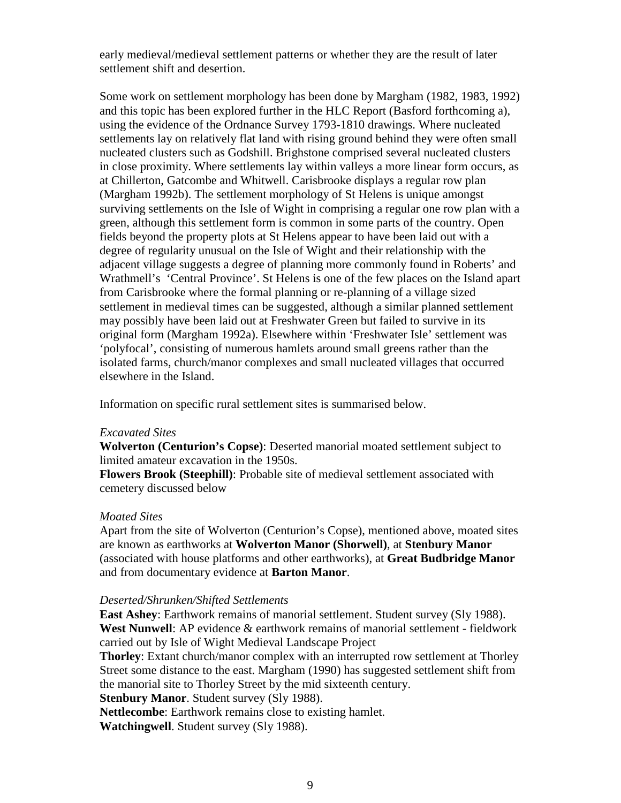early medieval/medieval settlement patterns or whether they are the result of later settlement shift and desertion.

Some work on settlement morphology has been done by Margham (1982, 1983, 1992) and this topic has been explored further in the HLC Report (Basford forthcoming a), using the evidence of the Ordnance Survey 1793-1810 drawings. Where nucleated settlements lay on relatively flat land with rising ground behind they were often small nucleated clusters such as Godshill. Brighstone comprised several nucleated clusters in close proximity. Where settlements lay within valleys a more linear form occurs, as at Chillerton, Gatcombe and Whitwell. Carisbrooke displays a regular row plan (Margham 1992b). The settlement morphology of St Helens is unique amongst surviving settlements on the Isle of Wight in comprising a regular one row plan with a green, although this settlement form is common in some parts of the country. Open fields beyond the property plots at St Helens appear to have been laid out with a degree of regularity unusual on the Isle of Wight and their relationship with the adjacent village suggests a degree of planning more commonly found in Roberts' and Wrathmell's 'Central Province'. St Helens is one of the few places on the Island apart from Carisbrooke where the formal planning or re-planning of a village sized settlement in medieval times can be suggested, although a similar planned settlement may possibly have been laid out at Freshwater Green but failed to survive in its original form (Margham 1992a). Elsewhere within 'Freshwater Isle' settlement was 'polyfocal', consisting of numerous hamlets around small greens rather than the isolated farms, church/manor complexes and small nucleated villages that occurred elsewhere in the Island.

Information on specific rural settlement sites is summarised below.

#### *Excavated Sites*

**Wolverton (Centurion's Copse)**: Deserted manorial moated settlement subject to limited amateur excavation in the 1950s.

**Flowers Brook (Steephill)**: Probable site of medieval settlement associated with cemetery discussed below

### *Moated Sites*

Apart from the site of Wolverton (Centurion's Copse), mentioned above, moated sites are known as earthworks at **Wolverton Manor (Shorwell)**, at **Stenbury Manor** (associated with house platforms and other earthworks), at **Great Budbridge Manor** and from documentary evidence at **Barton Manor**.

#### *Deserted/Shrunken/Shifted Settlements*

**East Ashey**: Earthwork remains of manorial settlement. Student survey (Sly 1988). **West Nunwell**: AP evidence & earthwork remains of manorial settlement - fieldwork carried out by Isle of Wight Medieval Landscape Project

**Thorley**: Extant church/manor complex with an interrupted row settlement at Thorley Street some distance to the east. Margham (1990) has suggested settlement shift from the manorial site to Thorley Street by the mid sixteenth century.

**Stenbury Manor**. Student survey (Sly 1988).

**Nettlecombe**: Earthwork remains close to existing hamlet.

**Watchingwell**. Student survey (Sly 1988).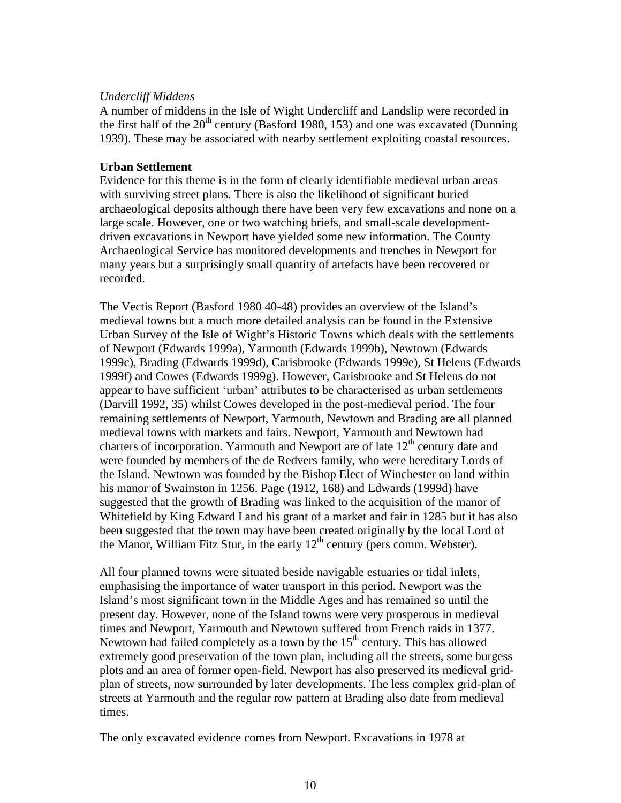# *Undercliff Middens*

A number of middens in the Isle of Wight Undercliff and Landslip were recorded in the first half of the  $20<sup>th</sup>$  century (Basford 1980, 153) and one was excavated (Dunning 1939). These may be associated with nearby settlement exploiting coastal resources.

# **Urban Settlement**

Evidence for this theme is in the form of clearly identifiable medieval urban areas with surviving street plans. There is also the likelihood of significant buried archaeological deposits although there have been very few excavations and none on a large scale. However, one or two watching briefs, and small-scale developmentdriven excavations in Newport have yielded some new information. The County Archaeological Service has monitored developments and trenches in Newport for many years but a surprisingly small quantity of artefacts have been recovered or recorded.

The Vectis Report (Basford 1980 40-48) provides an overview of the Island's medieval towns but a much more detailed analysis can be found in the Extensive Urban Survey of the Isle of Wight's Historic Towns which deals with the settlements of Newport (Edwards 1999a), Yarmouth (Edwards 1999b), Newtown (Edwards 1999c), Brading (Edwards 1999d), Carisbrooke (Edwards 1999e), St Helens (Edwards 1999f) and Cowes (Edwards 1999g). However, Carisbrooke and St Helens do not appear to have sufficient 'urban' attributes to be characterised as urban settlements (Darvill 1992, 35) whilst Cowes developed in the post-medieval period. The four remaining settlements of Newport, Yarmouth, Newtown and Brading are all planned medieval towns with markets and fairs. Newport, Yarmouth and Newtown had charters of incorporation. Yarmouth and Newport are of late  $12<sup>th</sup>$  century date and were founded by members of the de Redvers family, who were hereditary Lords of the Island. Newtown was founded by the Bishop Elect of Winchester on land within his manor of Swainston in 1256. Page (1912, 168) and Edwards (1999d) have suggested that the growth of Brading was linked to the acquisition of the manor of Whitefield by King Edward I and his grant of a market and fair in 1285 but it has also been suggested that the town may have been created originally by the local Lord of the Manor, William Fitz Stur, in the early  $12<sup>th</sup>$  century (pers comm. Webster).

All four planned towns were situated beside navigable estuaries or tidal inlets, emphasising the importance of water transport in this period. Newport was the Island's most significant town in the Middle Ages and has remained so until the present day. However, none of the Island towns were very prosperous in medieval times and Newport, Yarmouth and Newtown suffered from French raids in 1377. Newtown had failed completely as a town by the  $15<sup>th</sup>$  century. This has allowed extremely good preservation of the town plan, including all the streets, some burgess plots and an area of former open-field. Newport has also preserved its medieval gridplan of streets, now surrounded by later developments. The less complex grid-plan of streets at Yarmouth and the regular row pattern at Brading also date from medieval times.

The only excavated evidence comes from Newport. Excavations in 1978 at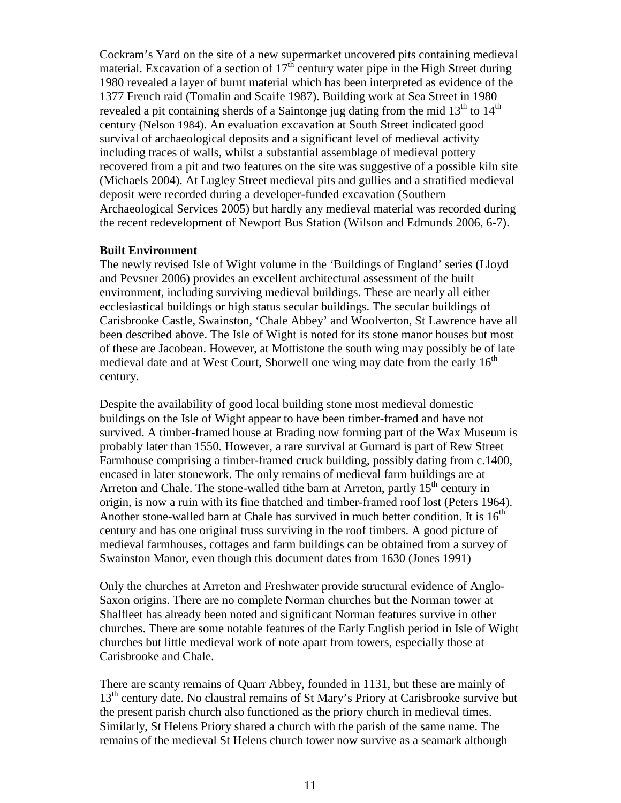Cockram's Yard on the site of a new supermarket uncovered pits containing medieval material. Excavation of a section of  $17<sup>th</sup>$  century water pipe in the High Street during 1980 revealed a layer of burnt material which has been interpreted as evidence of the 1377 French raid (Tomalin and Scaife 1987). Building work at Sea Street in 1980 revealed a pit containing sherds of a Saintonge jug dating from the mid  $13<sup>th</sup>$  to  $14<sup>th</sup>$ century (Nelson 1984). An evaluation excavation at South Street indicated good survival of archaeological deposits and a significant level of medieval activity including traces of walls, whilst a substantial assemblage of medieval pottery recovered from a pit and two features on the site was suggestive of a possible kiln site (Michaels 2004). At Lugley Street medieval pits and gullies and a stratified medieval deposit were recorded during a developer-funded excavation (Southern Archaeological Services 2005) but hardly any medieval material was recorded during the recent redevelopment of Newport Bus Station (Wilson and Edmunds 2006, 6-7).

## **Built Environment**

The newly revised Isle of Wight volume in the 'Buildings of England' series (Lloyd and Pevsner 2006) provides an excellent architectural assessment of the built environment, including surviving medieval buildings. These are nearly all either ecclesiastical buildings or high status secular buildings. The secular buildings of Carisbrooke Castle, Swainston, 'Chale Abbey' and Woolverton, St Lawrence have all been described above. The Isle of Wight is noted for its stone manor houses but most of these are Jacobean. However, at Mottistone the south wing may possibly be of late medieval date and at West Court, Shorwell one wing may date from the early  $16<sup>th</sup>$ century.

Despite the availability of good local building stone most medieval domestic buildings on the Isle of Wight appear to have been timber-framed and have not survived. A timber-framed house at Brading now forming part of the Wax Museum is probably later than 1550. However, a rare survival at Gurnard is part of Rew Street Farmhouse comprising a timber-framed cruck building, possibly dating from c.1400, encased in later stonework. The only remains of medieval farm buildings are at Arreton and Chale. The stone-walled tithe barn at Arreton, partly  $15<sup>th</sup>$  century in origin, is now a ruin with its fine thatched and timber-framed roof lost (Peters 1964). Another stone-walled barn at Chale has survived in much better condition. It is  $16<sup>th</sup>$ century and has one original truss surviving in the roof timbers. A good picture of medieval farmhouses, cottages and farm buildings can be obtained from a survey of Swainston Manor, even though this document dates from 1630 (Jones 1991)

Only the churches at Arreton and Freshwater provide structural evidence of Anglo-Saxon origins. There are no complete Norman churches but the Norman tower at Shalfleet has already been noted and significant Norman features survive in other churches. There are some notable features of the Early English period in Isle of Wight churches but little medieval work of note apart from towers, especially those at Carisbrooke and Chale.

There are scanty remains of Quarr Abbey, founded in 1131, but these are mainly of 13<sup>th</sup> century date. No claustral remains of St Mary's Priory at Carisbrooke survive but the present parish church also functioned as the priory church in medieval times. Similarly, St Helens Priory shared a church with the parish of the same name. The remains of the medieval St Helens church tower now survive as a seamark although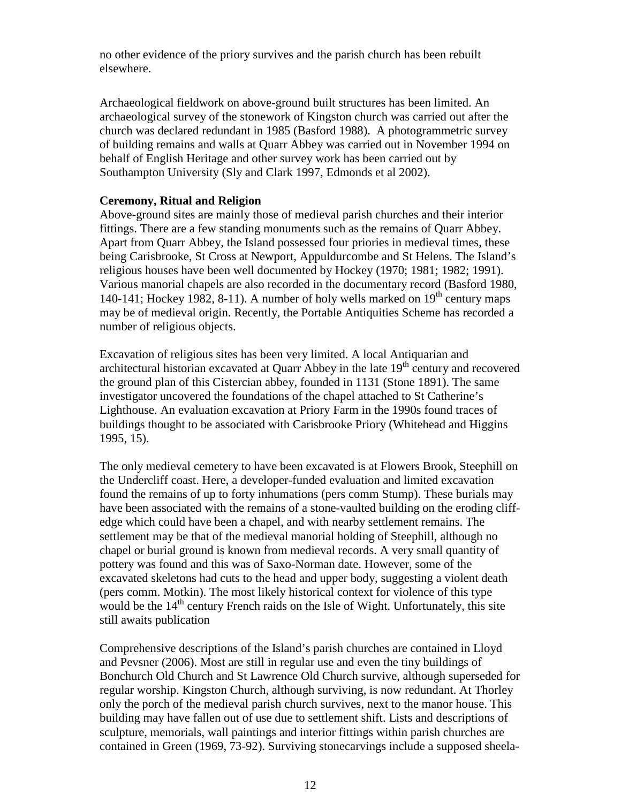no other evidence of the priory survives and the parish church has been rebuilt elsewhere.

Archaeological fieldwork on above-ground built structures has been limited. An archaeological survey of the stonework of Kingston church was carried out after the church was declared redundant in 1985 (Basford 1988). A photogrammetric survey of building remains and walls at Quarr Abbey was carried out in November 1994 on behalf of English Heritage and other survey work has been carried out by Southampton University (Sly and Clark 1997, Edmonds et al 2002).

# **Ceremony, Ritual and Religion**

Above-ground sites are mainly those of medieval parish churches and their interior fittings. There are a few standing monuments such as the remains of Quarr Abbey. Apart from Quarr Abbey, the Island possessed four priories in medieval times, these being Carisbrooke, St Cross at Newport, Appuldurcombe and St Helens. The Island's religious houses have been well documented by Hockey (1970; 1981; 1982; 1991). Various manorial chapels are also recorded in the documentary record (Basford 1980, 140-141; Hockey 1982, 8-11). A number of holy wells marked on  $19<sup>th</sup>$  century maps may be of medieval origin. Recently, the Portable Antiquities Scheme has recorded a number of religious objects.

Excavation of religious sites has been very limited. A local Antiquarian and architectural historian excavated at Quarr Abbey in the late  $19<sup>th</sup>$  century and recovered the ground plan of this Cistercian abbey, founded in 1131 (Stone 1891). The same investigator uncovered the foundations of the chapel attached to St Catherine's Lighthouse. An evaluation excavation at Priory Farm in the 1990s found traces of buildings thought to be associated with Carisbrooke Priory (Whitehead and Higgins 1995, 15).

The only medieval cemetery to have been excavated is at Flowers Brook, Steephill on the Undercliff coast. Here, a developer-funded evaluation and limited excavation found the remains of up to forty inhumations (pers comm Stump). These burials may have been associated with the remains of a stone-vaulted building on the eroding cliffedge which could have been a chapel, and with nearby settlement remains. The settlement may be that of the medieval manorial holding of Steephill, although no chapel or burial ground is known from medieval records. A very small quantity of pottery was found and this was of Saxo-Norman date. However, some of the excavated skeletons had cuts to the head and upper body, suggesting a violent death (pers comm. Motkin). The most likely historical context for violence of this type would be the  $14<sup>th</sup>$  century French raids on the Isle of Wight. Unfortunately, this site still awaits publication

Comprehensive descriptions of the Island's parish churches are contained in Lloyd and Pevsner (2006). Most are still in regular use and even the tiny buildings of Bonchurch Old Church and St Lawrence Old Church survive, although superseded for regular worship. Kingston Church, although surviving, is now redundant. At Thorley only the porch of the medieval parish church survives, next to the manor house. This building may have fallen out of use due to settlement shift. Lists and descriptions of sculpture, memorials, wall paintings and interior fittings within parish churches are contained in Green (1969, 73-92). Surviving stonecarvings include a supposed sheela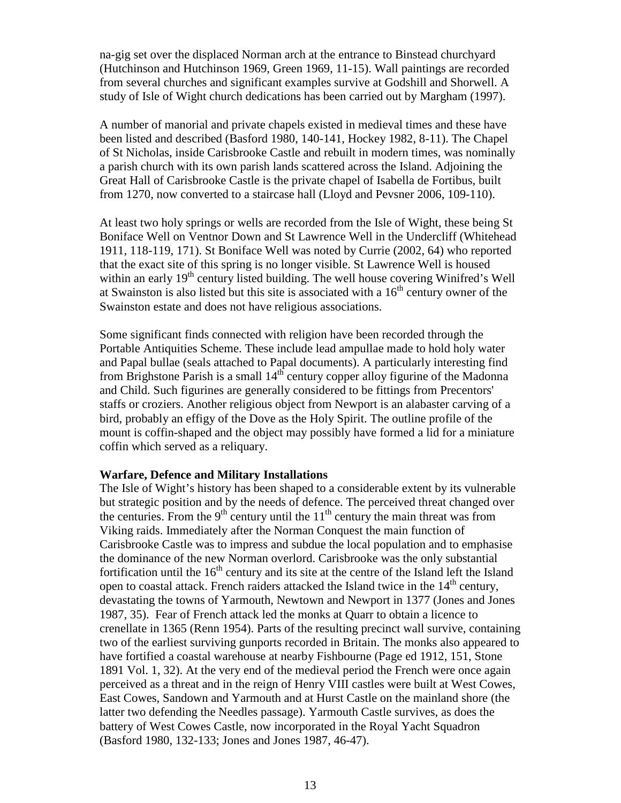na-gig set over the displaced Norman arch at the entrance to Binstead churchyard (Hutchinson and Hutchinson 1969, Green 1969, 11-15). Wall paintings are recorded from several churches and significant examples survive at Godshill and Shorwell. A study of Isle of Wight church dedications has been carried out by Margham (1997).

A number of manorial and private chapels existed in medieval times and these have been listed and described (Basford 1980, 140-141, Hockey 1982, 8-11). The Chapel of St Nicholas, inside Carisbrooke Castle and rebuilt in modern times, was nominally a parish church with its own parish lands scattered across the Island. Adjoining the Great Hall of Carisbrooke Castle is the private chapel of Isabella de Fortibus, built from 1270, now converted to a staircase hall (Lloyd and Pevsner 2006, 109-110).

At least two holy springs or wells are recorded from the Isle of Wight, these being St Boniface Well on Ventnor Down and St Lawrence Well in the Undercliff (Whitehead 1911, 118-119, 171). St Boniface Well was noted by Currie (2002, 64) who reported that the exact site of this spring is no longer visible. St Lawrence Well is housed within an early 19<sup>th</sup> century listed building. The well house covering Winifred's Well at Swainston is also listed but this site is associated with a  $16<sup>th</sup>$  century owner of the Swainston estate and does not have religious associations.

Some significant finds connected with religion have been recorded through the Portable Antiquities Scheme. These include lead ampullae made to hold holy water and Papal bullae (seals attached to Papal documents). A particularly interesting find from Brighstone Parish is a small 14<sup>th</sup> century copper alloy figurine of the Madonna and Child. Such figurines are generally considered to be fittings from Precentors' staffs or croziers. Another religious object from Newport is an alabaster carving of a bird, probably an effigy of the Dove as the Holy Spirit. The outline profile of the mount is coffin-shaped and the object may possibly have formed a lid for a miniature coffin which served as a reliquary.

#### **Warfare, Defence and Military Installations**

The Isle of Wight's history has been shaped to a considerable extent by its vulnerable but strategic position and by the needs of defence. The perceived threat changed over the centuries. From the  $9<sup>th</sup>$  century until the  $11<sup>th</sup>$  century the main threat was from Viking raids. Immediately after the Norman Conquest the main function of Carisbrooke Castle was to impress and subdue the local population and to emphasise the dominance of the new Norman overlord. Carisbrooke was the only substantial fortification until the  $16<sup>th</sup>$  century and its site at the centre of the Island left the Island open to coastal attack. French raiders attacked the Island twice in the  $14<sup>th</sup>$  century, devastating the towns of Yarmouth, Newtown and Newport in 1377 (Jones and Jones 1987, 35). Fear of French attack led the monks at Quarr to obtain a licence to crenellate in 1365 (Renn 1954). Parts of the resulting precinct wall survive, containing two of the earliest surviving gunports recorded in Britain. The monks also appeared to have fortified a coastal warehouse at nearby Fishbourne (Page ed 1912, 151, Stone 1891 Vol. 1, 32). At the very end of the medieval period the French were once again perceived as a threat and in the reign of Henry VIII castles were built at West Cowes, East Cowes, Sandown and Yarmouth and at Hurst Castle on the mainland shore (the latter two defending the Needles passage). Yarmouth Castle survives, as does the battery of West Cowes Castle, now incorporated in the Royal Yacht Squadron (Basford 1980, 132-133; Jones and Jones 1987, 46-47).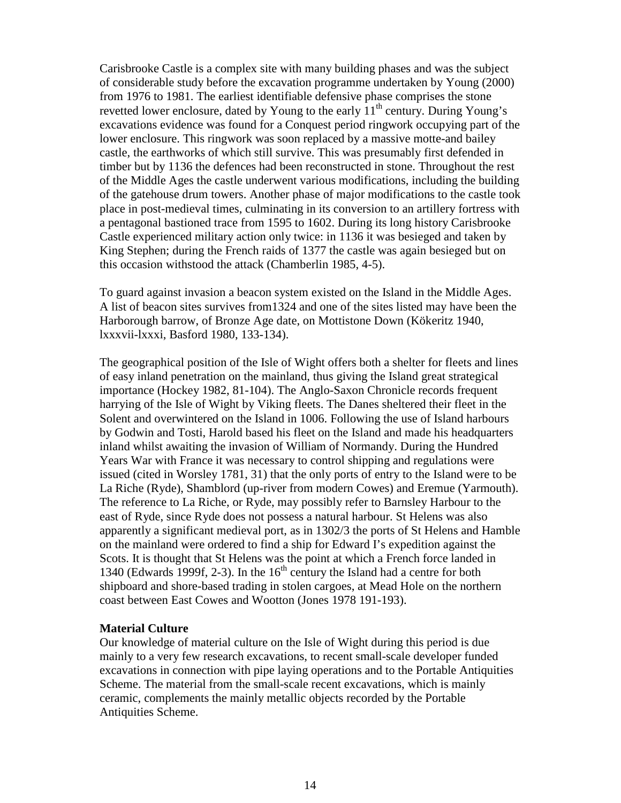Carisbrooke Castle is a complex site with many building phases and was the subject of considerable study before the excavation programme undertaken by Young (2000) from 1976 to 1981. The earliest identifiable defensive phase comprises the stone revetted lower enclosure, dated by Young to the early  $11<sup>th</sup>$  century. During Young's excavations evidence was found for a Conquest period ringwork occupying part of the lower enclosure. This ringwork was soon replaced by a massive motte-and bailey castle, the earthworks of which still survive. This was presumably first defended in timber but by 1136 the defences had been reconstructed in stone. Throughout the rest of the Middle Ages the castle underwent various modifications, including the building of the gatehouse drum towers. Another phase of major modifications to the castle took place in post-medieval times, culminating in its conversion to an artillery fortress with a pentagonal bastioned trace from 1595 to 1602. During its long history Carisbrooke Castle experienced military action only twice: in 1136 it was besieged and taken by King Stephen; during the French raids of 1377 the castle was again besieged but on this occasion withstood the attack (Chamberlin 1985, 4-5).

To guard against invasion a beacon system existed on the Island in the Middle Ages. A list of beacon sites survives from1324 and one of the sites listed may have been the Harborough barrow, of Bronze Age date, on Mottistone Down (Kökeritz 1940, lxxxvii-lxxxi, Basford 1980, 133-134).

The geographical position of the Isle of Wight offers both a shelter for fleets and lines of easy inland penetration on the mainland, thus giving the Island great strategical importance (Hockey 1982, 81-104). The Anglo-Saxon Chronicle records frequent harrying of the Isle of Wight by Viking fleets. The Danes sheltered their fleet in the Solent and overwintered on the Island in 1006. Following the use of Island harbours by Godwin and Tosti, Harold based his fleet on the Island and made his headquarters inland whilst awaiting the invasion of William of Normandy. During the Hundred Years War with France it was necessary to control shipping and regulations were issued (cited in Worsley 1781, 31) that the only ports of entry to the Island were to be La Riche (Ryde), Shamblord (up-river from modern Cowes) and Eremue (Yarmouth). The reference to La Riche, or Ryde, may possibly refer to Barnsley Harbour to the east of Ryde, since Ryde does not possess a natural harbour. St Helens was also apparently a significant medieval port, as in 1302/3 the ports of St Helens and Hamble on the mainland were ordered to find a ship for Edward I's expedition against the Scots. It is thought that St Helens was the point at which a French force landed in 1340 (Edwards 1999f, 2-3). In the  $16<sup>th</sup>$  century the Island had a centre for both shipboard and shore-based trading in stolen cargoes, at Mead Hole on the northern coast between East Cowes and Wootton (Jones 1978 191-193).

## **Material Culture**

Our knowledge of material culture on the Isle of Wight during this period is due mainly to a very few research excavations, to recent small-scale developer funded excavations in connection with pipe laying operations and to the Portable Antiquities Scheme. The material from the small-scale recent excavations, which is mainly ceramic, complements the mainly metallic objects recorded by the Portable Antiquities Scheme.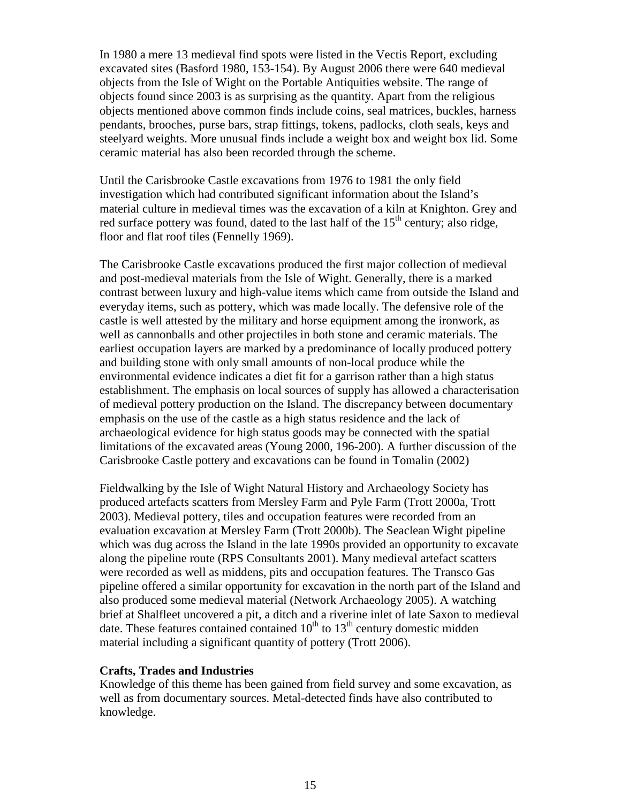In 1980 a mere 13 medieval find spots were listed in the Vectis Report, excluding excavated sites (Basford 1980, 153-154). By August 2006 there were 640 medieval objects from the Isle of Wight on the Portable Antiquities website. The range of objects found since 2003 is as surprising as the quantity. Apart from the religious objects mentioned above common finds include coins, seal matrices, buckles, harness pendants, brooches, purse bars, strap fittings, tokens, padlocks, cloth seals, keys and steelyard weights. More unusual finds include a weight box and weight box lid. Some ceramic material has also been recorded through the scheme.

Until the Carisbrooke Castle excavations from 1976 to 1981 the only field investigation which had contributed significant information about the Island's material culture in medieval times was the excavation of a kiln at Knighton. Grey and red surface pottery was found, dated to the last half of the 15<sup>th</sup> century; also ridge, floor and flat roof tiles (Fennelly 1969).

The Carisbrooke Castle excavations produced the first major collection of medieval and post-medieval materials from the Isle of Wight. Generally, there is a marked contrast between luxury and high-value items which came from outside the Island and everyday items, such as pottery, which was made locally. The defensive role of the castle is well attested by the military and horse equipment among the ironwork, as well as cannonballs and other projectiles in both stone and ceramic materials. The earliest occupation layers are marked by a predominance of locally produced pottery and building stone with only small amounts of non-local produce while the environmental evidence indicates a diet fit for a garrison rather than a high status establishment. The emphasis on local sources of supply has allowed a characterisation of medieval pottery production on the Island. The discrepancy between documentary emphasis on the use of the castle as a high status residence and the lack of archaeological evidence for high status goods may be connected with the spatial limitations of the excavated areas (Young 2000, 196-200). A further discussion of the Carisbrooke Castle pottery and excavations can be found in Tomalin (2002)

Fieldwalking by the Isle of Wight Natural History and Archaeology Society has produced artefacts scatters from Mersley Farm and Pyle Farm (Trott 2000a, Trott 2003). Medieval pottery, tiles and occupation features were recorded from an evaluation excavation at Mersley Farm (Trott 2000b). The Seaclean Wight pipeline which was dug across the Island in the late 1990s provided an opportunity to excavate along the pipeline route (RPS Consultants 2001). Many medieval artefact scatters were recorded as well as middens, pits and occupation features. The Transco Gas pipeline offered a similar opportunity for excavation in the north part of the Island and also produced some medieval material (Network Archaeology 2005). A watching brief at Shalfleet uncovered a pit, a ditch and a riverine inlet of late Saxon to medieval date. These features contained contained  $10<sup>th</sup>$  to  $13<sup>th</sup>$  century domestic midden material including a significant quantity of pottery (Trott 2006).

#### **Crafts, Trades and Industries**

Knowledge of this theme has been gained from field survey and some excavation, as well as from documentary sources. Metal-detected finds have also contributed to knowledge.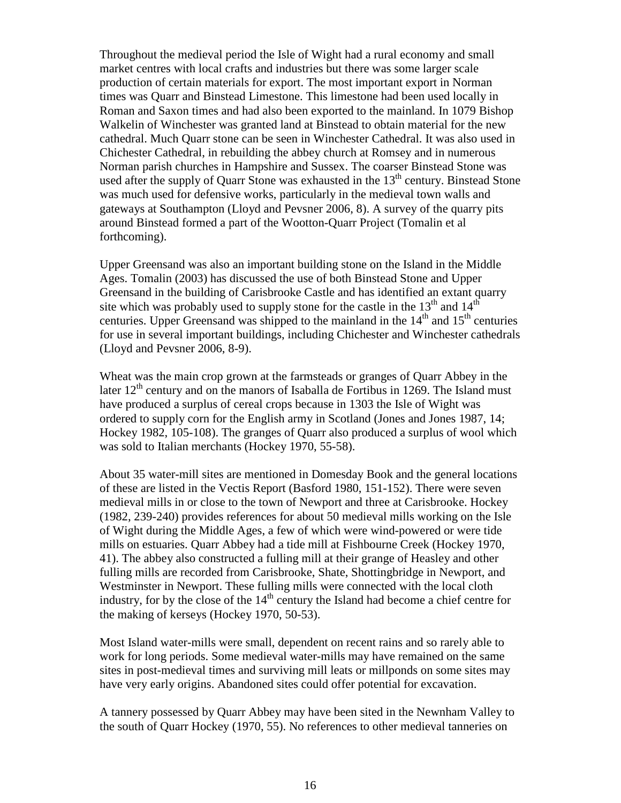Throughout the medieval period the Isle of Wight had a rural economy and small market centres with local crafts and industries but there was some larger scale production of certain materials for export. The most important export in Norman times was Quarr and Binstead Limestone. This limestone had been used locally in Roman and Saxon times and had also been exported to the mainland. In 1079 Bishop Walkelin of Winchester was granted land at Binstead to obtain material for the new cathedral. Much Quarr stone can be seen in Winchester Cathedral. It was also used in Chichester Cathedral, in rebuilding the abbey church at Romsey and in numerous Norman parish churches in Hampshire and Sussex. The coarser Binstead Stone was used after the supply of Quarr Stone was exhausted in the 13<sup>th</sup> century. Binstead Stone was much used for defensive works, particularly in the medieval town walls and gateways at Southampton (Lloyd and Pevsner 2006, 8). A survey of the quarry pits around Binstead formed a part of the Wootton-Quarr Project (Tomalin et al forthcoming).

Upper Greensand was also an important building stone on the Island in the Middle Ages. Tomalin (2003) has discussed the use of both Binstead Stone and Upper Greensand in the building of Carisbrooke Castle and has identified an extant quarry site which was probably used to supply stone for the castle in the  $13<sup>th</sup>$  and  $14<sup>th</sup>$ centuries. Upper Greensand was shipped to the mainland in the  $14<sup>th</sup>$  and  $15<sup>th</sup>$  centuries for use in several important buildings, including Chichester and Winchester cathedrals (Lloyd and Pevsner 2006, 8-9).

Wheat was the main crop grown at the farmsteads or granges of Quarr Abbey in the later  $12<sup>th</sup>$  century and on the manors of Isaballa de Fortibus in 1269. The Island must have produced a surplus of cereal crops because in 1303 the Isle of Wight was ordered to supply corn for the English army in Scotland (Jones and Jones 1987, 14; Hockey 1982, 105-108). The granges of Quarr also produced a surplus of wool which was sold to Italian merchants (Hockey 1970, 55-58).

About 35 water-mill sites are mentioned in Domesday Book and the general locations of these are listed in the Vectis Report (Basford 1980, 151-152). There were seven medieval mills in or close to the town of Newport and three at Carisbrooke. Hockey (1982, 239-240) provides references for about 50 medieval mills working on the Isle of Wight during the Middle Ages, a few of which were wind-powered or were tide mills on estuaries. Quarr Abbey had a tide mill at Fishbourne Creek (Hockey 1970, 41). The abbey also constructed a fulling mill at their grange of Heasley and other fulling mills are recorded from Carisbrooke, Shate, Shottingbridge in Newport, and Westminster in Newport. These fulling mills were connected with the local cloth industry, for by the close of the  $14<sup>th</sup>$  century the Island had become a chief centre for the making of kerseys (Hockey 1970, 50-53).

Most Island water-mills were small, dependent on recent rains and so rarely able to work for long periods. Some medieval water-mills may have remained on the same sites in post-medieval times and surviving mill leats or millponds on some sites may have very early origins. Abandoned sites could offer potential for excavation.

A tannery possessed by Quarr Abbey may have been sited in the Newnham Valley to the south of Quarr Hockey (1970, 55). No references to other medieval tanneries on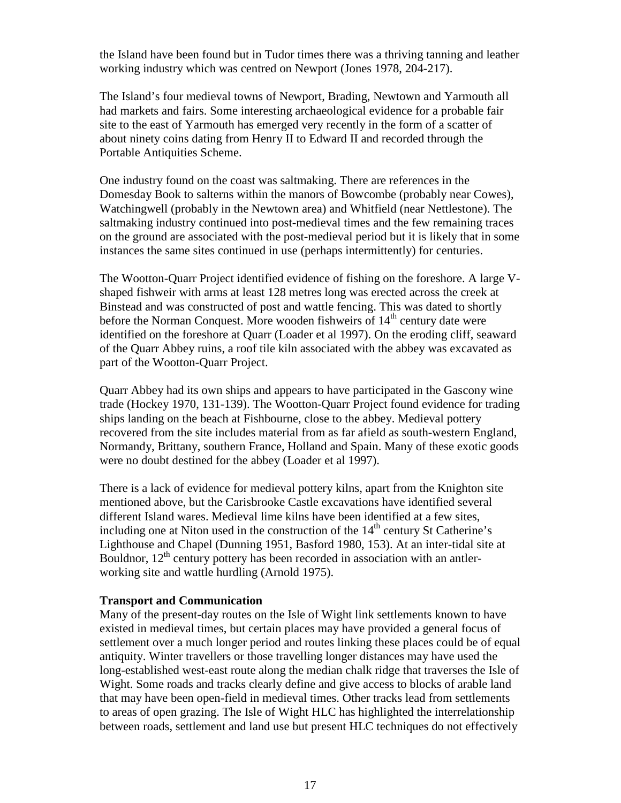the Island have been found but in Tudor times there was a thriving tanning and leather working industry which was centred on Newport (Jones 1978, 204-217).

The Island's four medieval towns of Newport, Brading, Newtown and Yarmouth all had markets and fairs. Some interesting archaeological evidence for a probable fair site to the east of Yarmouth has emerged very recently in the form of a scatter of about ninety coins dating from Henry II to Edward II and recorded through the Portable Antiquities Scheme.

One industry found on the coast was saltmaking. There are references in the Domesday Book to salterns within the manors of Bowcombe (probably near Cowes), Watchingwell (probably in the Newtown area) and Whitfield (near Nettlestone). The saltmaking industry continued into post-medieval times and the few remaining traces on the ground are associated with the post-medieval period but it is likely that in some instances the same sites continued in use (perhaps intermittently) for centuries.

The Wootton-Quarr Project identified evidence of fishing on the foreshore. A large Vshaped fishweir with arms at least 128 metres long was erected across the creek at Binstead and was constructed of post and wattle fencing. This was dated to shortly before the Norman Conquest. More wooden fishweirs of  $14<sup>th</sup>$  century date were identified on the foreshore at Quarr (Loader et al 1997). On the eroding cliff, seaward of the Quarr Abbey ruins, a roof tile kiln associated with the abbey was excavated as part of the Wootton-Quarr Project.

Quarr Abbey had its own ships and appears to have participated in the Gascony wine trade (Hockey 1970, 131-139). The Wootton-Quarr Project found evidence for trading ships landing on the beach at Fishbourne, close to the abbey. Medieval pottery recovered from the site includes material from as far afield as south-western England, Normandy, Brittany, southern France, Holland and Spain. Many of these exotic goods were no doubt destined for the abbey (Loader et al 1997).

There is a lack of evidence for medieval pottery kilns, apart from the Knighton site mentioned above, but the Carisbrooke Castle excavations have identified several different Island wares. Medieval lime kilns have been identified at a few sites, including one at Niton used in the construction of the 14<sup>th</sup> century St Catherine's Lighthouse and Chapel (Dunning 1951, Basford 1980, 153). At an inter-tidal site at Bouldnor,  $12<sup>th</sup>$  century pottery has been recorded in association with an antlerworking site and wattle hurdling (Arnold 1975).

## **Transport and Communication**

Many of the present-day routes on the Isle of Wight link settlements known to have existed in medieval times, but certain places may have provided a general focus of settlement over a much longer period and routes linking these places could be of equal antiquity. Winter travellers or those travelling longer distances may have used the long-established west-east route along the median chalk ridge that traverses the Isle of Wight. Some roads and tracks clearly define and give access to blocks of arable land that may have been open-field in medieval times. Other tracks lead from settlements to areas of open grazing. The Isle of Wight HLC has highlighted the interrelationship between roads, settlement and land use but present HLC techniques do not effectively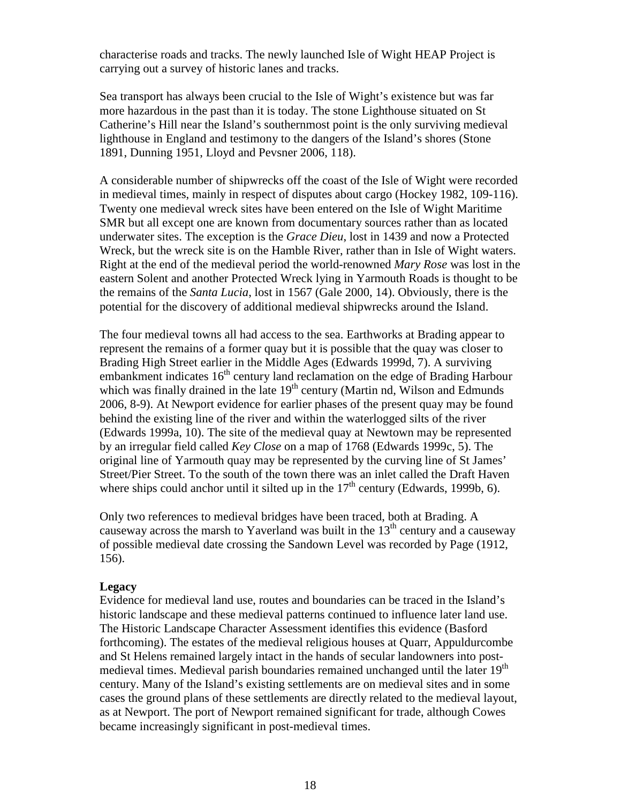characterise roads and tracks. The newly launched Isle of Wight HEAP Project is carrying out a survey of historic lanes and tracks.

Sea transport has always been crucial to the Isle of Wight's existence but was far more hazardous in the past than it is today. The stone Lighthouse situated on St Catherine's Hill near the Island's southernmost point is the only surviving medieval lighthouse in England and testimony to the dangers of the Island's shores (Stone 1891, Dunning 1951, Lloyd and Pevsner 2006, 118).

A considerable number of shipwrecks off the coast of the Isle of Wight were recorded in medieval times, mainly in respect of disputes about cargo (Hockey 1982, 109-116). Twenty one medieval wreck sites have been entered on the Isle of Wight Maritime SMR but all except one are known from documentary sources rather than as located underwater sites. The exception is the *Grace Dieu*, lost in 1439 and now a Protected Wreck, but the wreck site is on the Hamble River, rather than in Isle of Wight waters. Right at the end of the medieval period the world-renowned *Mary Rose* was lost in the eastern Solent and another Protected Wreck lying in Yarmouth Roads is thought to be the remains of the *Santa Lucia*, lost in 1567 (Gale 2000, 14). Obviously, there is the potential for the discovery of additional medieval shipwrecks around the Island.

The four medieval towns all had access to the sea. Earthworks at Brading appear to represent the remains of a former quay but it is possible that the quay was closer to Brading High Street earlier in the Middle Ages (Edwards 1999d, 7). A surviving embankment indicates  $16<sup>th</sup>$  century land reclamation on the edge of Brading Harbour which was finally drained in the late  $19<sup>th</sup>$  century (Martin nd, Wilson and Edmunds 2006, 8-9). At Newport evidence for earlier phases of the present quay may be found behind the existing line of the river and within the waterlogged silts of the river (Edwards 1999a, 10). The site of the medieval quay at Newtown may be represented by an irregular field called *Key Close* on a map of 1768 (Edwards 1999c, 5). The original line of Yarmouth quay may be represented by the curving line of St James' Street/Pier Street. To the south of the town there was an inlet called the Draft Haven where ships could anchor until it silted up in the  $17<sup>th</sup>$  century (Edwards, 1999b, 6).

Only two references to medieval bridges have been traced, both at Brading. A causeway across the marsh to Yaverland was built in the  $13<sup>th</sup>$  century and a causeway of possible medieval date crossing the Sandown Level was recorded by Page (1912, 156).

## **Legacy**

Evidence for medieval land use, routes and boundaries can be traced in the Island's historic landscape and these medieval patterns continued to influence later land use. The Historic Landscape Character Assessment identifies this evidence (Basford forthcoming). The estates of the medieval religious houses at Quarr, Appuldurcombe and St Helens remained largely intact in the hands of secular landowners into postmedieval times. Medieval parish boundaries remained unchanged until the later 19<sup>th</sup> century. Many of the Island's existing settlements are on medieval sites and in some cases the ground plans of these settlements are directly related to the medieval layout, as at Newport. The port of Newport remained significant for trade, although Cowes became increasingly significant in post-medieval times.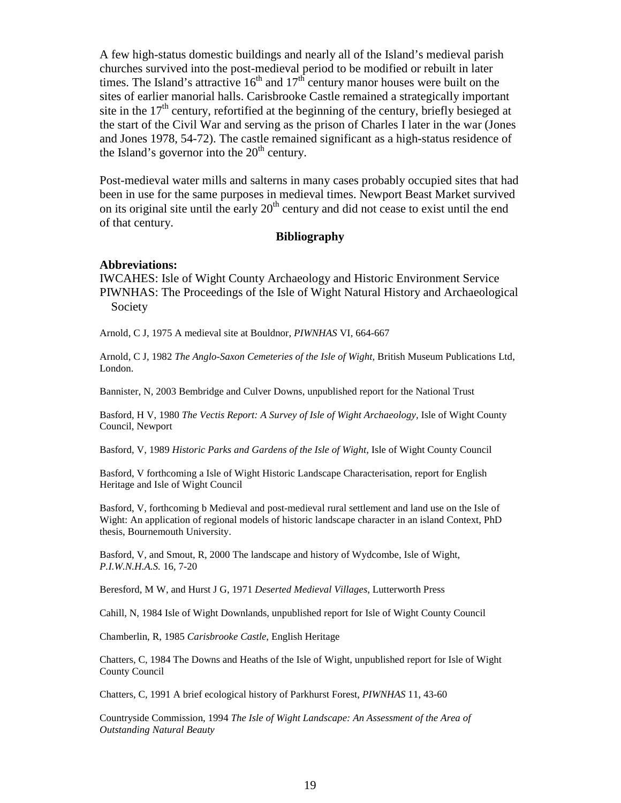A few high-status domestic buildings and nearly all of the Island's medieval parish churches survived into the post-medieval period to be modified or rebuilt in later times. The Island's attractive  $16<sup>th</sup>$  and  $17<sup>th</sup>$  century manor houses were built on the sites of earlier manorial halls. Carisbrooke Castle remained a strategically important site in the  $17<sup>th</sup>$  century, refortified at the beginning of the century, briefly besieged at the start of the Civil War and serving as the prison of Charles I later in the war (Jones and Jones 1978, 54-72). The castle remained significant as a high-status residence of the Island's governor into the  $20<sup>th</sup>$  century.

Post-medieval water mills and salterns in many cases probably occupied sites that had been in use for the same purposes in medieval times. Newport Beast Market survived on its original site until the early  $20<sup>th</sup>$  century and did not cease to exist until the end of that century.

## **Bibliography**

#### **Abbreviations:**

IWCAHES: Isle of Wight County Archaeology and Historic Environment Service PIWNHAS: The Proceedings of the Isle of Wight Natural History and Archaeological Society

Arnold, C J, 1975 A medieval site at Bouldnor, *PIWNHAS* VI, 664-667

Arnold, C J, 1982 *The Anglo-Saxon Cemeteries of the Isle of Wight,* British Museum Publications Ltd, London.

Bannister, N, 2003 Bembridge and Culver Downs, unpublished report for the National Trust

Basford, H V, 1980 *The Vectis Report: A Survey of Isle of Wight Archaeology,* Isle of Wight County Council, Newport

Basford, V, 1989 *Historic Parks and Gardens of the Isle of Wight,* Isle of Wight County Council

Basford, V forthcoming a Isle of Wight Historic Landscape Characterisation, report for English Heritage and Isle of Wight Council

Basford, V, forthcoming b Medieval and post-medieval rural settlement and land use on the Isle of Wight: An application of regional models of historic landscape character in an island Context, PhD thesis, Bournemouth University.

Basford, V, and Smout, R, 2000 The landscape and history of Wydcombe, Isle of Wight, *P.I.W.N.H.A.S.* 16, 7-20

Beresford, M W, and Hurst J G, 1971 *Deserted Medieval Villages*, Lutterworth Press

Cahill, N, 1984 Isle of Wight Downlands, unpublished report for Isle of Wight County Council

Chamberlin, R, 1985 *Carisbrooke Castle*, English Heritage

Chatters, C, 1984 The Downs and Heaths of the Isle of Wight, unpublished report for Isle of Wight County Council

Chatters, C, 1991 A brief ecological history of Parkhurst Forest, *PIWNHAS* 11, 43-60

Countryside Commission, 1994 *The Isle of Wight Landscape: An Assessment of the Area of Outstanding Natural Beauty*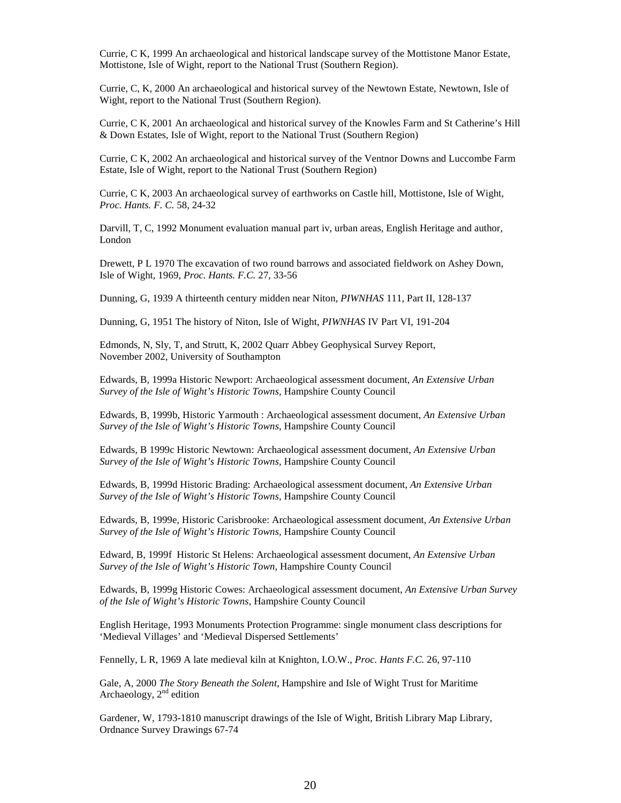Currie, C K, 1999 An archaeological and historical landscape survey of the Mottistone Manor Estate, Mottistone, Isle of Wight, report to the National Trust (Southern Region).

Currie, C, K, 2000 An archaeological and historical survey of the Newtown Estate, Newtown, Isle of Wight, report to the National Trust (Southern Region).

Currie, C K, 2001 An archaeological and historical survey of the Knowles Farm and St Catherine's Hill & Down Estates, Isle of Wight, report to the National Trust (Southern Region)

Currie, C K, 2002 An archaeological and historical survey of the Ventnor Downs and Luccombe Farm Estate, Isle of Wight, report to the National Trust (Southern Region)

Currie, C K, 2003 An archaeological survey of earthworks on Castle hill, Mottistone, Isle of Wight, *Proc. Hants. F. C.* 58, 24-32

Darvill, T, C, 1992 Monument evaluation manual part iv, urban areas, English Heritage and author, London

Drewett, P L 1970 The excavation of two round barrows and associated fieldwork on Ashey Down, Isle of Wight, 1969, *Proc. Hants. F.C.* 27, 33-56

Dunning, G, 1939 A thirteenth century midden near Niton, *PIWNHAS* 111, Part II, 128-137

Dunning, G, 1951 The history of Niton, Isle of Wight, *PIWNHAS* IV Part VI, 191-204

Edmonds, N, Sly, T, and Strutt, K, 2002 Quarr Abbey Geophysical Survey Report, November 2002, University of Southampton

Edwards, B, 1999a Historic Newport: Archaeological assessment document, *An Extensive Urban Survey of the Isle of Wight's Historic Towns,* Hampshire County Council

Edwards, B, 1999b, Historic Yarmouth : Archaeological assessment document, *An Extensive Urban Survey of the Isle of Wight's Historic Towns,* Hampshire County Council

Edwards, B 1999c Historic Newtown: Archaeological assessment document, *An Extensive Urban Survey of the Isle of Wight's Historic Towns,* Hampshire County Council

Edwards, B, 1999d Historic Brading: Archaeological assessment document, *An Extensive Urban Survey of the Isle of Wight's Historic Towns,* Hampshire County Council

Edwards, B, 1999e, Historic Carisbrooke: Archaeological assessment document, *An Extensive Urban Survey of the Isle of Wight's Historic Towns,* Hampshire County Council

Edward, B, 1999f Historic St Helens: Archaeological assessment document, *An Extensive Urban Survey of the Isle of Wight's Historic Town,* Hampshire County Council

Edwards, B, 1999g Historic Cowes: Archaeological assessment document, *An Extensive Urban Survey of the Isle of Wight's Historic Towns,* Hampshire County Council

English Heritage, 1993 Monuments Protection Programme: single monument class descriptions for 'Medieval Villages' and 'Medieval Dispersed Settlements'

Fennelly, L R, 1969 A late medieval kiln at Knighton, I.O.W., *Proc. Hants F.C.* 26, 97-110

Gale, A, 2000 *The Story Beneath the Solent*, Hampshire and Isle of Wight Trust for Maritime Archaeology,  $2<sup>nd</sup>$  edition

Gardener, W, 1793-1810 manuscript drawings of the Isle of Wight, British Library Map Library, Ordnance Survey Drawings 67-74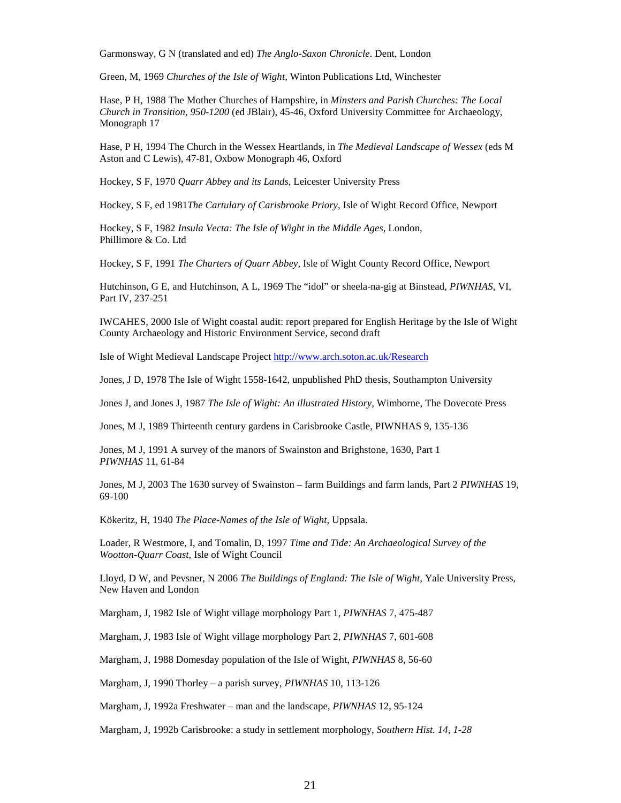Garmonsway, G N (translated and ed) *The Anglo-Saxon Chronicle*. Dent, London

Green, M, 1969 *Churches of the Isle of Wight,* Winton Publications Ltd, Winchester

Hase, P H, 1988 The Mother Churches of Hampshire, in *Minsters and Parish Churches: The Local Church in Transition, 950-1200* (ed JBlair), 45-46, Oxford University Committee for Archaeology, Monograph 17

Hase, P H, 1994 The Church in the Wessex Heartlands, in *The Medieval Landscape of Wessex* (eds M Aston and C Lewis), 47-81, Oxbow Monograph 46, Oxford

Hockey, S F, 1970 *Quarr Abbey and its Lands,* Leicester University Press

Hockey, S F, ed 1981*The Cartulary of Carisbrooke Priory*, Isle of Wight Record Office, Newport

Hockey, S F, 1982 *Insula Vecta: The Isle of Wight in the Middle Ages,* London, Phillimore & Co. Ltd

Hockey, S F, 1991 *The Charters of Quarr Abbey,* Isle of Wight County Record Office, Newport

Hutchinson, G E, and Hutchinson, A L, 1969 The "idol" or sheela-na-gig at Binstead, *PIWNHAS,* VI, Part IV, 237-251

IWCAHES, 2000 Isle of Wight coastal audit: report prepared for English Heritage by the Isle of Wight County Archaeology and Historic Environment Service, second draft

Isle of Wight Medieval Landscape Project http://www.arch.soton.ac.uk/Research

Jones, J D, 1978 The Isle of Wight 1558-1642, unpublished PhD thesis, Southampton University

Jones J, and Jones J, 1987 *The Isle of Wight: An illustrated History,* Wimborne, The Dovecote Press

Jones, M J, 1989 Thirteenth century gardens in Carisbrooke Castle, PIWNHAS 9, 135-136

Jones, M J, 1991 A survey of the manors of Swainston and Brighstone, 1630, Part 1 *PIWNHAS* 11, 61-84

Jones, M J, 2003 The 1630 survey of Swainston – farm Buildings and farm lands, Part 2 *PIWNHAS* 19, 69-100

Kökeritz, H, 1940 *The Place-Names of the Isle of Wight,* Uppsala.

Loader, R Westmore, I, and Tomalin, D, 1997 *Time and Tide: An Archaeological Survey of the Wootton-Quarr Coast*, Isle of Wight Council

Lloyd, D W, and Pevsner, N 2006 *The Buildings of England: The Isle of Wight,* Yale University Press, New Haven and London

Margham, J, 1982 Isle of Wight village morphology Part 1, *PIWNHAS* 7, 475-487

Margham, J, 1983 Isle of Wight village morphology Part 2, *PIWNHAS* 7, 601-608

Margham, J, 1988 Domesday population of the Isle of Wight, *PIWNHAS* 8, 56-60

Margham, J, 1990 Thorley – a parish survey, *PIWNHAS* 10, 113-126

Margham, J, 1992a Freshwater – man and the landscape, *PIWNHAS* 12, 95-124

Margham, J, 1992b Carisbrooke: a study in settlement morphology, *Southern Hist. 14, 1-28*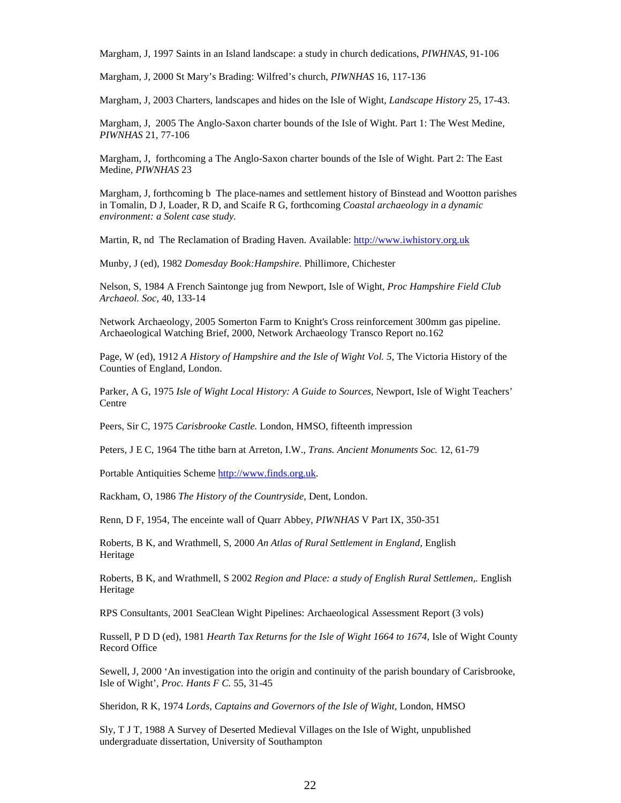Margham, J, 1997 Saints in an Island landscape: a study in church dedications, *PIWHNAS,* 91-106

Margham, J, 2000 St Mary's Brading: Wilfred's church, *PIWNHAS* 16, 117-136

Margham, J, 2003 Charters, landscapes and hides on the Isle of Wight, *Landscape History* 25, 17-43.

Margham, J, 2005 The Anglo-Saxon charter bounds of the Isle of Wight. Part 1: The West Medine, *PIWNHAS* 21, 77-106

Margham, J, forthcoming a The Anglo-Saxon charter bounds of the Isle of Wight. Part 2: The East Medine, *PIWNHAS* 23

Margham, J, forthcoming b The place-names and settlement history of Binstead and Wootton parishes in Tomalin, D J, Loader, R D, and Scaife R G, forthcoming *Coastal archaeology in a dynamic environment: a Solent case study.*

Martin, R, nd The Reclamation of Brading Haven. Available: http://www.iwhistory.org.uk

Munby, J (ed), 1982 *Domesday Book:Hampshire.* Phillimore, Chichester

Nelson, S, 1984 A French Saintonge jug from Newport, Isle of Wight, *Proc Hampshire Field Club Archaeol. Soc,* 40, 133-14

Network Archaeology, 2005 Somerton Farm to Knight's Cross reinforcement 300mm gas pipeline. Archaeological Watching Brief, 2000, Network Archaeology Transco Report no.162

Page, W (ed), 1912 *A History of Hampshire and the Isle of Wight Vol.* 5, The Victoria History of the Counties of England, London.

Parker, A G, 1975 *Isle of Wight Local History: A Guide to Sources,* Newport, Isle of Wight Teachers' Centre

Peers, Sir C, 1975 *Carisbrooke Castle.* London, HMSO, fifteenth impression

Peters, J E C, 1964 The tithe barn at Arreton, I.W., *Trans. Ancient Monuments Soc.* 12, 61-79

Portable Antiquities Scheme http://www.finds.org.uk.

Rackham, O, 1986 *The History of the Countryside,* Dent, London.

Renn, D F, 1954, The enceinte wall of Quarr Abbey, *PIWNHAS* V Part IX, 350-351

Roberts, B K, and Wrathmell, S, 2000 *An Atlas of Rural Settlement in England,* English Heritage

Roberts, B K, and Wrathmell, S 2002 *Region and Place: a study of English Rural Settlemen,.* English Heritage

RPS Consultants, 2001 SeaClean Wight Pipelines: Archaeological Assessment Report (3 vols)

Russell, P D D (ed), 1981 *Hearth Tax Returns for the Isle of Wight 1664 to 1674,* Isle of Wight County Record Office

Sewell, J, 2000 'An investigation into the origin and continuity of the parish boundary of Carisbrooke, Isle of Wight', *Proc. Hants F C.* 55, 31-45

Sheridon, R K, 1974 *Lords, Captains and Governors of the Isle of Wight,* London, HMSO

Sly, T J T, 1988 A Survey of Deserted Medieval Villages on the Isle of Wight, unpublished undergraduate dissertation, University of Southampton